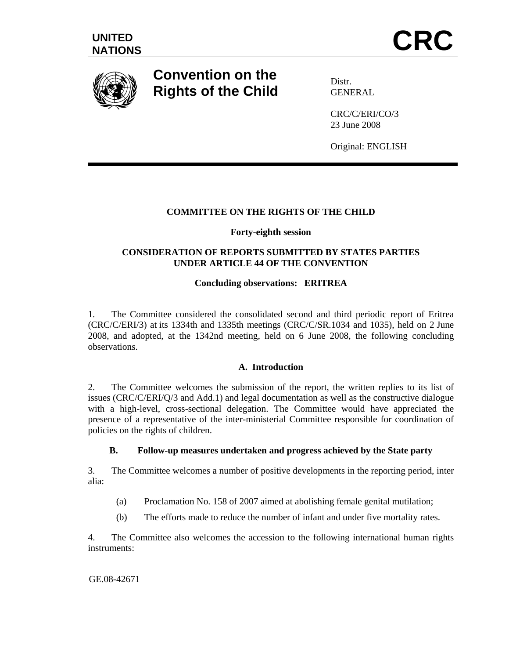

# **Convention on the Rights of the Child**

Distr. GENERAL

CRC/C/ERI/CO/3 23 June 2008

Original: ENGLISH

# **COMMITTEE ON THE RIGHTS OF THE CHILD**

## **Forty-eighth session**

# **CONSIDERATION OF REPORTS SUBMITTED BY STATES PARTIES UNDER ARTICLE 44 OF THE CONVENTION**

# **Concluding observations: ERITREA**

1. The Committee considered the consolidated second and third periodic report of Eritrea (CRC/C/ERI/3) at its 1334th and 1335th meetings (CRC/C/SR.1034 and 1035), held on 2 June 2008, and adopted, at the 1342nd meeting, held on 6 June 2008, the following concluding observations.

# **A. Introduction**

2. The Committee welcomes the submission of the report, the written replies to its list of issues (CRC/C/ERI/Q/3 and Add.1) and legal documentation as well as the constructive dialogue with a high-level, cross-sectional delegation. The Committee would have appreciated the presence of a representative of the inter-ministerial Committee responsible for coordination of policies on the rights of children.

# **B. Follow-up measures undertaken and progress achieved by the State party**

3. The Committee welcomes a number of positive developments in the reporting period, inter alia:

- (a) Proclamation No. 158 of 2007 aimed at abolishing female genital mutilation;
- (b) The efforts made to reduce the number of infant and under five mortality rates.

4. The Committee also welcomes the accession to the following international human rights instruments:

GE.08-42671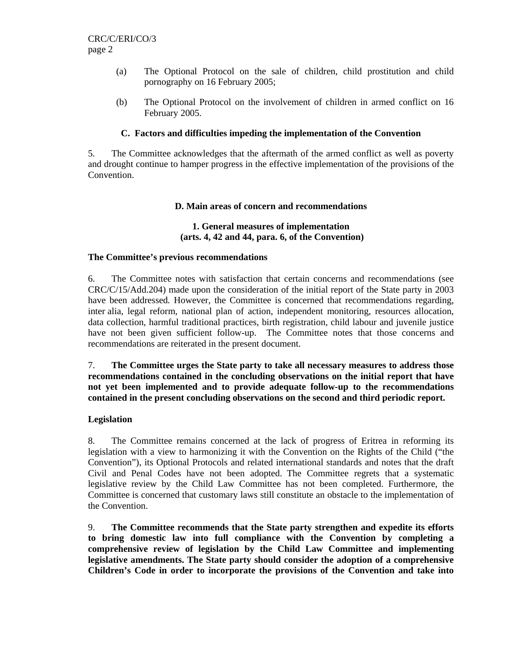- (a) The Optional Protocol on the sale of children, child prostitution and child pornography on 16 February 2005;
- (b) The Optional Protocol on the involvement of children in armed conflict on 16 February 2005.

## **C. Factors and difficulties impeding the implementation of the Convention**

5. The Committee acknowledges that the aftermath of the armed conflict as well as poverty and drought continue to hamper progress in the effective implementation of the provisions of the Convention.

## **D. Main areas of concern and recommendations**

#### **1. General measures of implementation (arts. 4, 42 and 44, para. 6, of the Convention)**

#### **The Committee's previous recommendations**

6. The Committee notes with satisfaction that certain concerns and recommendations (see CRC/C/15/Add.204) made upon the consideration of the initial report of the State party in 2003 have been addressed*.* However, the Committee is concerned that recommendations regarding, inter alia, legal reform, national plan of action, independent monitoring, resources allocation, data collection, harmful traditional practices, birth registration, child labour and juvenile justice have not been given sufficient follow-up. The Committee notes that those concerns and recommendations are reiterated in the present document.

7. **The Committee urges the State party to take all necessary measures to address those recommendations contained in the concluding observations on the initial report that have not yet been implemented and to provide adequate follow-up to the recommendations contained in the present concluding observations on the second and third periodic report.** 

#### **Legislation**

8. The Committee remains concerned at the lack of progress of Eritrea in reforming its legislation with a view to harmonizing it with the Convention on the Rights of the Child ("the Convention"), its Optional Protocols and related international standards and notes that the draft Civil and Penal Codes have not been adopted. The Committee regrets that a systematic legislative review by the Child Law Committee has not been completed. Furthermore, the Committee is concerned that customary laws still constitute an obstacle to the implementation of the Convention.

9. **The Committee recommends that the State party strengthen and expedite its efforts to bring domestic law into full compliance with the Convention by completing a comprehensive review of legislation by the Child Law Committee and implementing legislative amendments. The State party should consider the adoption of a comprehensive Children's Code in order to incorporate the provisions of the Convention and take into**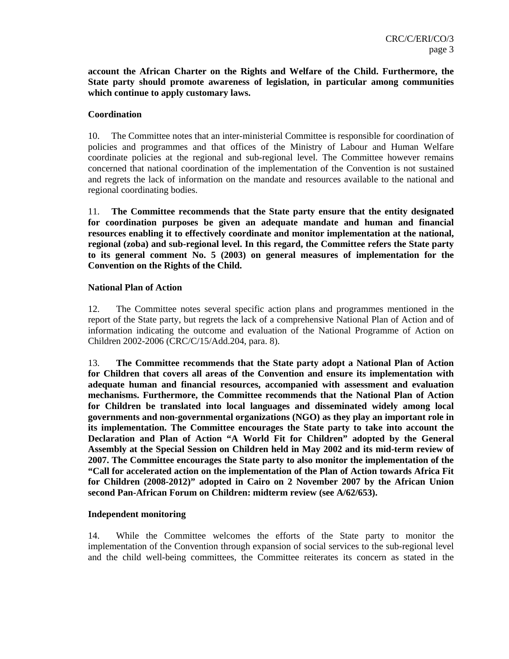**account the African Charter on the Rights and Welfare of the Child. Furthermore, the State party should promote awareness of legislation, in particular among communities which continue to apply customary laws.** 

#### **Coordination**

10. The Committee notes that an inter-ministerial Committee is responsible for coordination of policies and programmes and that offices of the Ministry of Labour and Human Welfare coordinate policies at the regional and sub-regional level. The Committee however remains concerned that national coordination of the implementation of the Convention is not sustained and regrets the lack of information on the mandate and resources available to the national and regional coordinating bodies.

11. **The Committee recommends that the State party ensure that the entity designated for coordination purposes be given an adequate mandate and human and financial resources enabling it to effectively coordinate and monitor implementation at the national, regional (zoba) and sub-regional level. In this regard, the Committee refers the State party to its general comment No. 5 (2003) on general measures of implementation for the Convention on the Rights of the Child.** 

#### **National Plan of Action**

12. The Committee notes several specific action plans and programmes mentioned in the report of the State party, but regrets the lack of a comprehensive National Plan of Action and of information indicating the outcome and evaluation of the National Programme of Action on Children 2002-2006 (CRC/C/15/Add.204, para. 8).

13. **The Committee recommends that the State party adopt a National Plan of Action for Children that covers all areas of the Convention and ensure its implementation with adequate human and financial resources, accompanied with assessment and evaluation mechanisms. Furthermore, the Committee recommends that the National Plan of Action for Children be translated into local languages and disseminated widely among local governments and non-governmental organizations (NGO) as they play an important role in its implementation. The Committee encourages the State party to take into account the Declaration and Plan of Action "A World Fit for Children" adopted by the General Assembly at the Special Session on Children held in May 2002 and its mid-term review of 2007. The Committee encourages the State party to also monitor the implementation of the "Call for accelerated action on the implementation of the Plan of Action towards Africa Fit for Children (2008-2012)" adopted in Cairo on 2 November 2007 by the African Union second Pan-African Forum on Children: midterm review (see A/62/653).** 

#### **Independent monitoring**

14. While the Committee welcomes the efforts of the State party to monitor the implementation of the Convention through expansion of social services to the sub-regional level and the child well-being committees, the Committee reiterates its concern as stated in the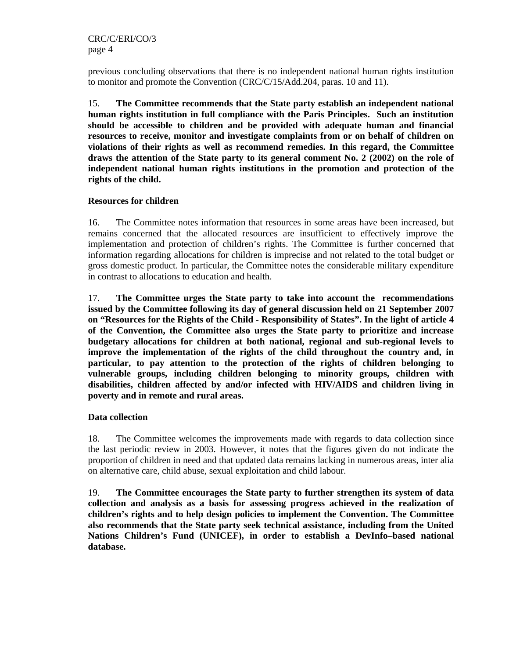previous concluding observations that there is no independent national human rights institution to monitor and promote the Convention (CRC/C/15/Add.204, paras. 10 and 11).

15. **The Committee recommends that the State party establish an independent national human rights institution in full compliance with the Paris Principles. Such an institution should be accessible to children and be provided with adequate human and financial resources to receive, monitor and investigate complaints from or on behalf of children on violations of their rights as well as recommend remedies. In this regard, the Committee draws the attention of the State party to its general comment No. 2 (2002) on the role of independent national human rights institutions in the promotion and protection of the rights of the child.** 

#### **Resources for children**

16. The Committee notes information that resources in some areas have been increased, but remains concerned that the allocated resources are insufficient to effectively improve the implementation and protection of children's rights. The Committee is further concerned that information regarding allocations for children is imprecise and not related to the total budget or gross domestic product. In particular, the Committee notes the considerable military expenditure in contrast to allocations to education and health.

17. **The Committee urges the State party to take into account the recommendations issued by the Committee following its day of general discussion held on 21 September 2007 on "Resources for the Rights of the Child - Responsibility of States". In the light of article 4 of the Convention, the Committee also urges the State party to prioritize and increase budgetary allocations for children at both national, regional and sub-regional levels to improve the implementation of the rights of the child throughout the country and, in particular, to pay attention to the protection of the rights of children belonging to vulnerable groups, including children belonging to minority groups, children with disabilities, children affected by and/or infected with HIV/AIDS and children living in poverty and in remote and rural areas.**

#### **Data collection**

18. The Committee welcomes the improvements made with regards to data collection since the last periodic review in 2003. However, it notes that the figures given do not indicate the proportion of children in need and that updated data remains lacking in numerous areas, inter alia on alternative care, child abuse, sexual exploitation and child labour.

19. **The Committee encourages the State party to further strengthen its system of data collection and analysis as a basis for assessing progress achieved in the realization of children's rights and to help design policies to implement the Convention. The Committee also recommends that the State party seek technical assistance, including from the United Nations Children's Fund (UNICEF), in order to establish a DevInfo–based national database.**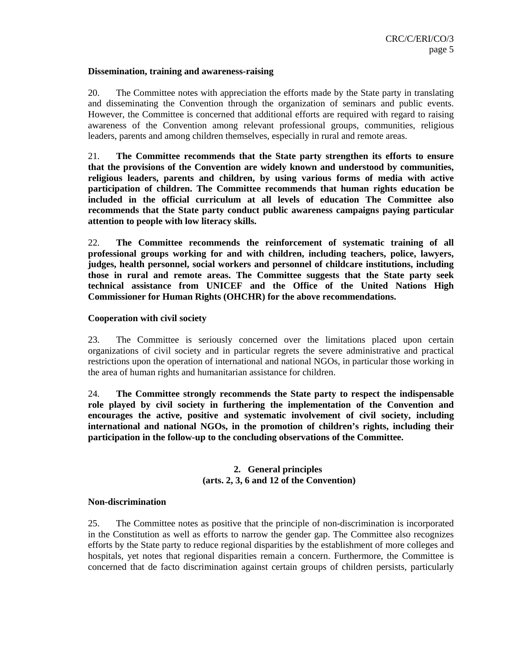#### **Dissemination, training and awareness-raising**

20. The Committee notes with appreciation the efforts made by the State party in translating and disseminating the Convention through the organization of seminars and public events. However, the Committee is concerned that additional efforts are required with regard to raising awareness of the Convention among relevant professional groups, communities, religious leaders, parents and among children themselves, especially in rural and remote areas.

21. **The Committee recommends that the State party strengthen its efforts to ensure that the provisions of the Convention are widely known and understood by communities, religious leaders, parents and children, by using various forms of media with active participation of children. The Committee recommends that human rights education be included in the official curriculum at all levels of education The Committee also recommends that the State party conduct public awareness campaigns paying particular attention to people with low literacy skills.** 

22. **The Committee recommends the reinforcement of systematic training of all professional groups working for and with children, including teachers, police, lawyers, judges, health personnel, social workers and personnel of childcare institutions, including those in rural and remote areas. The Committee suggests that the State party seek technical assistance from UNICEF and the Office of the United Nations High Commissioner for Human Rights (OHCHR) for the above recommendations.** 

#### **Cooperation with civil society**

23. The Committee is seriously concerned over the limitations placed upon certain organizations of civil society and in particular regrets the severe administrative and practical restrictions upon the operation of international and national NGOs, in particular those working in the area of human rights and humanitarian assistance for children.

24. **The Committee strongly recommends the State party to respect the indispensable role played by civil society in furthering the implementation of the Convention and encourages the active, positive and systematic involvement of civil society, including international and national NGOs, in the promotion of children's rights, including their participation in the follow-up to the concluding observations of the Committee.** 

# **2. General principles (arts. 2, 3, 6 and 12 of the Convention)**

#### **Non-discrimination**

25. The Committee notes as positive that the principle of non-discrimination is incorporated in the Constitution as well as efforts to narrow the gender gap. The Committee also recognizes efforts by the State party to reduce regional disparities by the establishment of more colleges and hospitals, yet notes that regional disparities remain a concern. Furthermore, the Committee is concerned that de facto discrimination against certain groups of children persists, particularly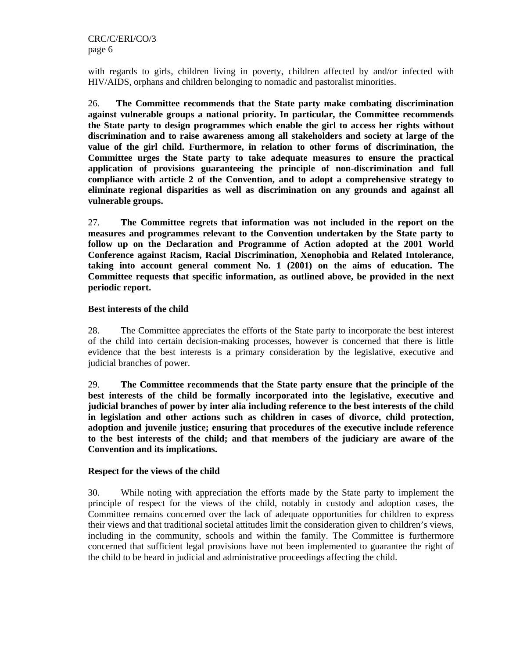with regards to girls, children living in poverty, children affected by and/or infected with HIV/AIDS, orphans and children belonging to nomadic and pastoralist minorities.

26. **The Committee recommends that the State party make combating discrimination against vulnerable groups a national priority. In particular, the Committee recommends the State party to design programmes which enable the girl to access her rights without discrimination and to raise awareness among all stakeholders and society at large of the value of the girl child. Furthermore, in relation to other forms of discrimination, the Committee urges the State party to take adequate measures to ensure the practical application of provisions guaranteeing the principle of non-discrimination and full compliance with article 2 of the Convention, and to adopt a comprehensive strategy to eliminate regional disparities as well as discrimination on any grounds and against all vulnerable groups.**

27. **The Committee regrets that information was not included in the report on the measures and programmes relevant to the Convention undertaken by the State party to follow up on the Declaration and Programme of Action adopted at the 2001 World Conference against Racism, Racial Discrimination, Xenophobia and Related Intolerance, taking into account general comment No. 1 (2001) on the aims of education. The Committee requests that specific information, as outlined above, be provided in the next periodic report.** 

## **Best interests of the child**

28. The Committee appreciates the efforts of the State party to incorporate the best interest of the child into certain decision-making processes, however is concerned that there is little evidence that the best interests is a primary consideration by the legislative, executive and judicial branches of power.

29. **The Committee recommends that the State party ensure that the principle of the best interests of the child be formally incorporated into the legislative, executive and judicial branches of power by inter alia including reference to the best interests of the child in legislation and other actions such as children in cases of divorce, child protection, adoption and juvenile justice; ensuring that procedures of the executive include reference to the best interests of the child; and that members of the judiciary are aware of the Convention and its implications.** 

#### **Respect for the views of the child**

30. While noting with appreciation the efforts made by the State party to implement the principle of respect for the views of the child, notably in custody and adoption cases, the Committee remains concerned over the lack of adequate opportunities for children to express their views and that traditional societal attitudes limit the consideration given to children's views, including in the community, schools and within the family. The Committee is furthermore concerned that sufficient legal provisions have not been implemented to guarantee the right of the child to be heard in judicial and administrative proceedings affecting the child.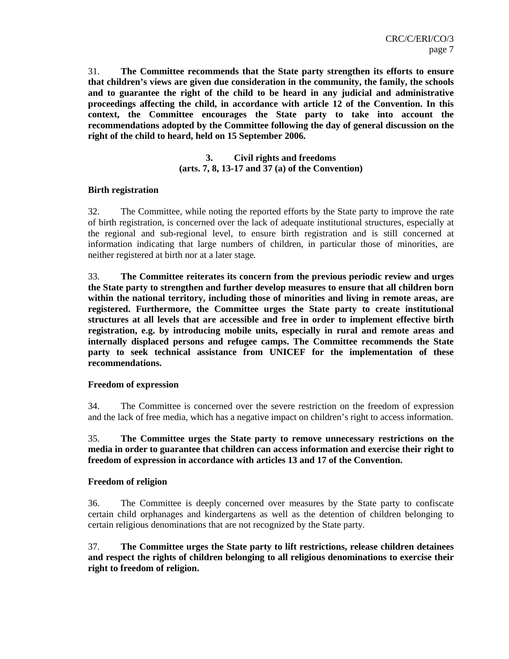31. **The Committee recommends that the State party strengthen its efforts to ensure that children's views are given due consideration in the community, the family, the schools and to guarantee the right of the child to be heard in any judicial and administrative proceedings affecting the child, in accordance with article 12 of the Convention. In this context, the Committee encourages the State party to take into account the recommendations adopted by the Committee following the day of general discussion on the right of the child to heard, held on 15 September 2006.** 

> **3. Civil rights and freedoms (arts. 7, 8, 13-17 and 37 (a) of the Convention)**

#### **Birth registration**

32. The Committee, while noting the reported efforts by the State party to improve the rate of birth registration, is concerned over the lack of adequate institutional structures, especially at the regional and sub-regional level, to ensure birth registration and is still concerned at information indicating that large numbers of children, in particular those of minorities, are neither registered at birth nor at a later stage*.*

33. **The Committee reiterates its concern from the previous periodic review and urges the State party to strengthen and further develop measures to ensure that all children born within the national territory, including those of minorities and living in remote areas, are registered. Furthermore, the Committee urges the State party to create institutional structures at all levels that are accessible and free in order to implement effective birth registration, e.g. by introducing mobile units, especially in rural and remote areas and internally displaced persons and refugee camps. The Committee recommends the State party to seek technical assistance from UNICEF for the implementation of these recommendations.** 

#### **Freedom of expression**

34. The Committee is concerned over the severe restriction on the freedom of expression and the lack of free media, which has a negative impact on children's right to access information.

35. **The Committee urges the State party to remove unnecessary restrictions on the media in order to guarantee that children can access information and exercise their right to freedom of expression in accordance with articles 13 and 17 of the Convention.** 

#### **Freedom of religion**

36. The Committee is deeply concerned over measures by the State party to confiscate certain child orphanages and kindergartens as well as the detention of children belonging to certain religious denominations that are not recognized by the State party*.*

37. **The Committee urges the State party to lift restrictions, release children detainees and respect the rights of children belonging to all religious denominations to exercise their right to freedom of religion.**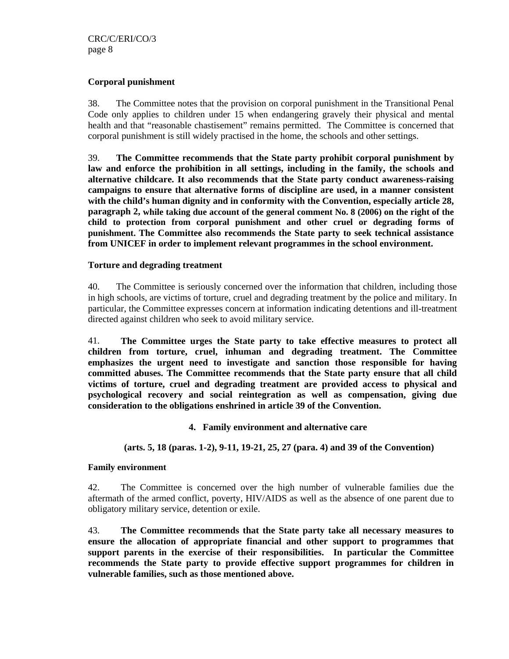#### **Corporal punishment**

38. The Committee notes that the provision on corporal punishment in the Transitional Penal Code only applies to children under 15 when endangering gravely their physical and mental health and that "reasonable chastisement" remains permitted. The Committee is concerned that corporal punishment is still widely practised in the home, the schools and other settings.

39. **The Committee recommends that the State party prohibit corporal punishment by law and enforce the prohibition in all settings, including in the family, the schools and alternative childcare. It also recommends that the State party conduct awareness-raising campaigns to ensure that alternative forms of discipline are used, in a manner consistent with the child's human dignity and in conformity with the Convention, especially article 28, paragraph 2, while taking due account of the general comment No. 8 (2006) on the right of the child to protection from corporal punishment and other cruel or degrading forms of punishment. The Committee also recommends the State party to seek technical assistance from UNICEF in order to implement relevant programmes in the school environment.**

## **Torture and degrading treatment**

40. The Committee is seriously concerned over the information that children, including those in high schools, are victims of torture, cruel and degrading treatment by the police and military. In particular, the Committee expresses concern at information indicating detentions and ill-treatment directed against children who seek to avoid military service.

41. **The Committee urges the State party to take effective measures to protect all children from torture, cruel, inhuman and degrading treatment. The Committee emphasizes the urgent need to investigate and sanction those responsible for having committed abuses. The Committee recommends that the State party ensure that all child victims of torture, cruel and degrading treatment are provided access to physical and psychological recovery and social reintegration as well as compensation, giving due consideration to the obligations enshrined in article 39 of the Convention.** 

**4. Family environment and alternative care** 

 **(arts. 5, 18 (paras. 1-2), 9-11, 19-21, 25, 27 (para. 4) and 39 of the Convention)** 

#### **Family environment**

42. The Committee is concerned over the high number of vulnerable families due the aftermath of the armed conflict, poverty, HIV/AIDS as well as the absence of one parent due to obligatory military service, detention or exile.

43. **The Committee recommends that the State party take all necessary measures to ensure the allocation of appropriate financial and other support to programmes that support parents in the exercise of their responsibilities. In particular the Committee recommends the State party to provide effective support programmes for children in vulnerable families, such as those mentioned above.**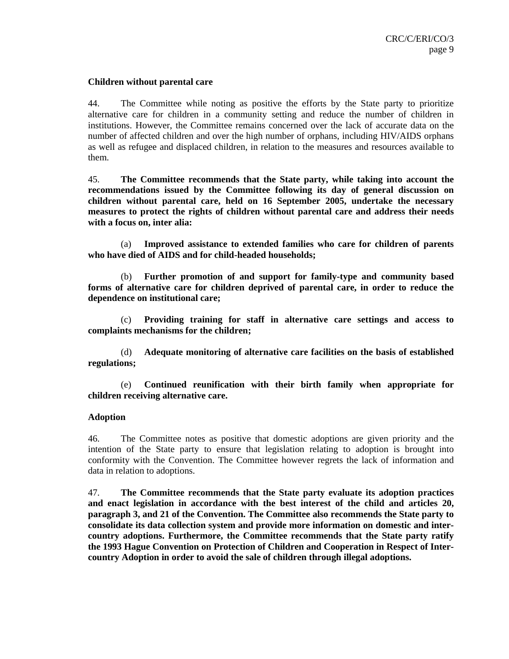#### **Children without parental care**

44. The Committee while noting as positive the efforts by the State party to prioritize alternative care for children in a community setting and reduce the number of children in institutions. However, the Committee remains concerned over the lack of accurate data on the number of affected children and over the high number of orphans, including HIV/AIDS orphans as well as refugee and displaced children, in relation to the measures and resources available to them.

45. **The Committee recommends that the State party, while taking into account the recommendations issued by the Committee following its day of general discussion on children without parental care, held on 16 September 2005, undertake the necessary measures to protect the rights of children without parental care and address their needs with a focus on, inter alia:** 

(a) **Improved assistance to extended families who care for children of parents who have died of AIDS and for child-headed households;** 

(b) **Further promotion of and support for family-type and community based forms of alternative care for children deprived of parental care, in order to reduce the dependence on institutional care;** 

(c) **Providing training for staff in alternative care settings and access to complaints mechanisms for the children;** 

(d) **Adequate monitoring of alternative care facilities on the basis of established regulations;** 

(e) **Continued reunification with their birth family when appropriate for children receiving alternative care.** 

#### **Adoption**

46. The Committee notes as positive that domestic adoptions are given priority and the intention of the State party to ensure that legislation relating to adoption is brought into conformity with the Convention. The Committee however regrets the lack of information and data in relation to adoptions.

47. **The Committee recommends that the State party evaluate its adoption practices and enact legislation in accordance with the best interest of the child and articles 20, paragraph 3, and 21 of the Convention. The Committee also recommends the State party to consolidate its data collection system and provide more information on domestic and intercountry adoptions. Furthermore, the Committee recommends that the State party ratify the 1993 Hague Convention on Protection of Children and Cooperation in Respect of Intercountry Adoption in order to avoid the sale of children through illegal adoptions.**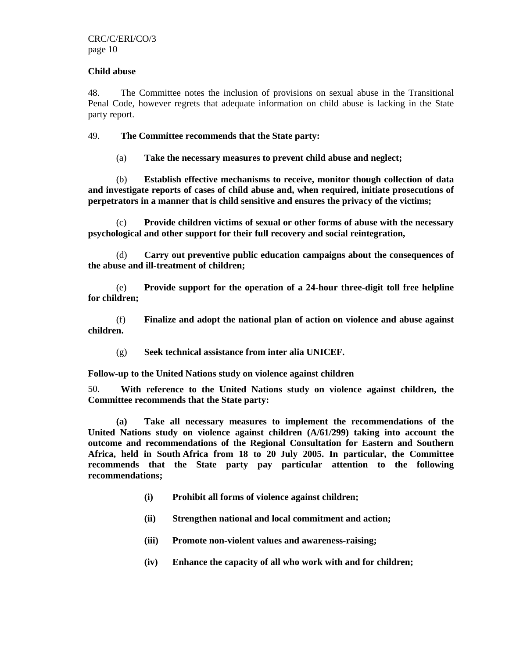#### **Child abuse**

48. The Committee notes the inclusion of provisions on sexual abuse in the Transitional Penal Code, however regrets that adequate information on child abuse is lacking in the State party report.

#### 49. **The Committee recommends that the State party:**

(a) **Take the necessary measures to prevent child abuse and neglect;** 

(b) **Establish effective mechanisms to receive, monitor though collection of data and investigate reports of cases of child abuse and, when required, initiate prosecutions of perpetrators in a manner that is child sensitive and ensures the privacy of the victims;** 

(c) **Provide children victims of sexual or other forms of abuse with the necessary psychological and other support for their full recovery and social reintegration,** 

(d) **Carry out preventive public education campaigns about the consequences of the abuse and ill-treatment of children;** 

(e) **Provide support for the operation of a 24-hour three-digit toll free helpline for children;** 

(f) **Finalize and adopt the national plan of action on violence and abuse against children.** 

(g) **Seek technical assistance from inter alia UNICEF.** 

**Follow-up to the United Nations study on violence against children** 

50. **With reference to the United Nations study on violence against children, the Committee recommends that the State party:** 

**(a) Take all necessary measures to implement the recommendations of the United Nations study on violence against children (A/61/299) taking into account the outcome and recommendations of the Regional Consultation for Eastern and Southern Africa, held in South Africa from 18 to 20 July 2005. In particular, the Committee recommends that the State party pay particular attention to the following recommendations;** 

- **(i) Prohibit all forms of violence against children;**
- **(ii) Strengthen national and local commitment and action;**
- **(iii) Promote non-violent values and awareness-raising;**
- **(iv) Enhance the capacity of all who work with and for children;**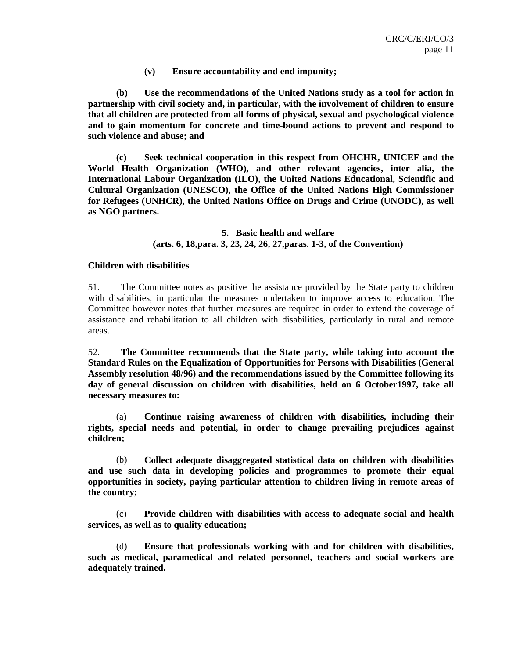**(v) Ensure accountability and end impunity;** 

**(b) Use the recommendations of the United Nations study as a tool for action in partnership with civil society and, in particular, with the involvement of children to ensure that all children are protected from all forms of physical, sexual and psychological violence and to gain momentum for concrete and time-bound actions to prevent and respond to such violence and abuse; and** 

**(c) Seek technical cooperation in this respect from OHCHR, UNICEF and the World Health Organization (WHO), and other relevant agencies, inter alia, the International Labour Organization (ILO), the United Nations Educational, Scientific and Cultural Organization (UNESCO), the Office of the United Nations High Commissioner for Refugees (UNHCR), the United Nations Office on Drugs and Crime (UNODC), as well as NGO partners.** 

> **5. Basic health and welfare (arts. 6, 18,para. 3, 23, 24, 26, 27,paras. 1-3, of the Convention)**

#### **Children with disabilities**

51. The Committee notes as positive the assistance provided by the State party to children with disabilities, in particular the measures undertaken to improve access to education. The Committee however notes that further measures are required in order to extend the coverage of assistance and rehabilitation to all children with disabilities, particularly in rural and remote areas.

52. **The Committee recommends that the State party, while taking into account the Standard Rules on the Equalization of Opportunities for Persons with Disabilities (General Assembly resolution 48/96) and the recommendations issued by the Committee following its day of general discussion on children with disabilities, held on 6 October1997, take all necessary measures to:** 

(a) **Continue raising awareness of children with disabilities, including their rights, special needs and potential, in order to change prevailing prejudices against children;** 

(b) **Collect adequate disaggregated statistical data on children with disabilities and use such data in developing policies and programmes to promote their equal opportunities in society, paying particular attention to children living in remote areas of the country;** 

(c) **Provide children with disabilities with access to adequate social and health services, as well as to quality education;** 

(d) **Ensure that professionals working with and for children with disabilities, such as medical, paramedical and related personnel, teachers and social workers are adequately trained.**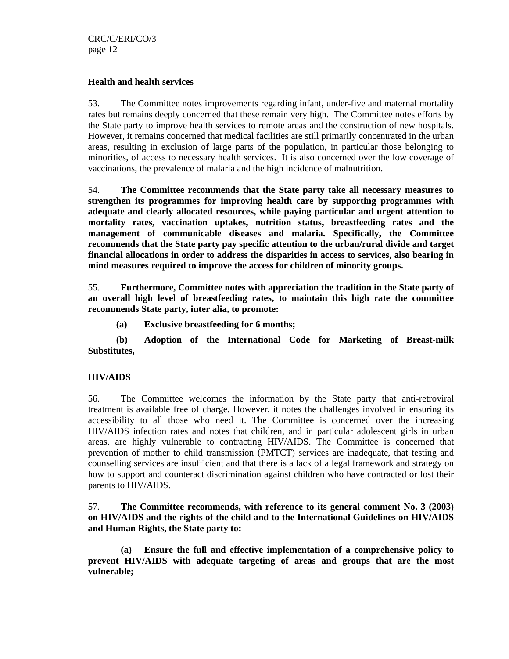#### **Health and health services**

53. The Committee notes improvements regarding infant, under-five and maternal mortality rates but remains deeply concerned that these remain very high. The Committee notes efforts by the State party to improve health services to remote areas and the construction of new hospitals. However, it remains concerned that medical facilities are still primarily concentrated in the urban areas, resulting in exclusion of large parts of the population, in particular those belonging to minorities, of access to necessary health services. It is also concerned over the low coverage of vaccinations, the prevalence of malaria and the high incidence of malnutrition.

54. **The Committee recommends that the State party take all necessary measures to strengthen its programmes for improving health care by supporting programmes with adequate and clearly allocated resources, while paying particular and urgent attention to mortality rates, vaccination uptakes, nutrition status, breastfeeding rates and the management of communicable diseases and malaria. Specifically, the Committee recommends that the State party pay specific attention to the urban/rural divide and target financial allocations in order to address the disparities in access to services, also bearing in mind measures required to improve the access for children of minority groups.**

55. **Furthermore, Committee notes with appreciation the tradition in the State party of an overall high level of breastfeeding rates, to maintain this high rate the committee recommends State party, inter alia, to promote:** 

**(a) Exclusive breastfeeding for 6 months;** 

**(b) Adoption of the International Code for Marketing of Breast**-**milk Substitutes,** 

#### **HIV/AIDS**

56. The Committee welcomes the information by the State party that anti-retroviral treatment is available free of charge. However, it notes the challenges involved in ensuring its accessibility to all those who need it. The Committee is concerned over the increasing HIV/AIDS infection rates and notes that children, and in particular adolescent girls in urban areas, are highly vulnerable to contracting HIV/AIDS. The Committee is concerned that prevention of mother to child transmission (PMTCT) services are inadequate, that testing and counselling services are insufficient and that there is a lack of a legal framework and strategy on how to support and counteract discrimination against children who have contracted or lost their parents to HIV/AIDS.

57. **The Committee recommends, with reference to its general comment No. 3 (2003) on HIV/AIDS and the rights of the child and to the International Guidelines on HIV/AIDS and Human Rights, the State party to:** 

**(a) Ensure the full and effective implementation of a comprehensive policy to prevent HIV/AIDS with adequate targeting of areas and groups that are the most vulnerable;**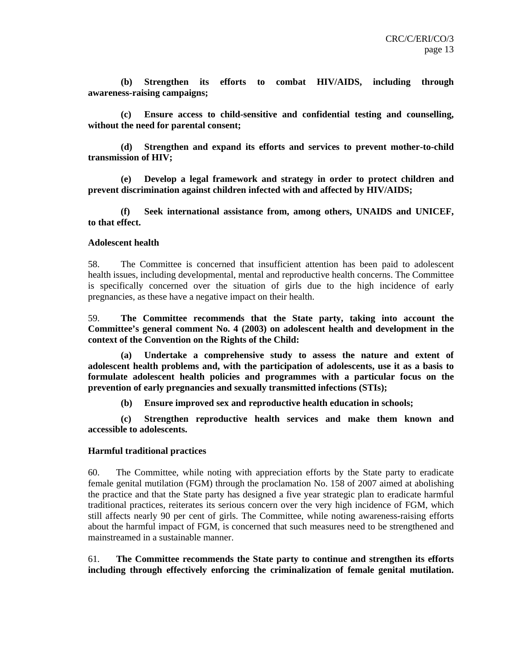**(b) Strengthen its efforts to combat HIV/AIDS, including through awareness-raising campaigns;** 

**(c) Ensure access to child-sensitive and confidential testing and counselling, without the need for parental consent;** 

**(d) Strengthen and expand its efforts and services to prevent mother-to-child transmission of HIV;** 

**(e) Develop a legal framework and strategy in order to protect children and prevent discrimination against children infected with and affected by HIV/AIDS;** 

**(f) Seek international assistance from, among others, UNAIDS and UNICEF, to that effect.** 

#### **Adolescent health**

58. The Committee is concerned that insufficient attention has been paid to adolescent health issues, including developmental, mental and reproductive health concerns. The Committee is specifically concerned over the situation of girls due to the high incidence of early pregnancies, as these have a negative impact on their health.

59. **The Committee recommends that the State party, taking into account the Committee's general comment No. 4 (2003) on adolescent health and development in the context of the Convention on the Rights of the Child:** 

**(a) Undertake a comprehensive study to assess the nature and extent of adolescent health problems and, with the participation of adolescents, use it as a basis to formulate adolescent health policies and programmes with a particular focus on the prevention of early pregnancies and sexually transmitted infections (STIs);** 

**(b) Ensure improved sex and reproductive health education in schools;** 

**(c) Strengthen reproductive health services and make them known and accessible to adolescents.** 

#### **Harmful traditional practices**

60. The Committee, while noting with appreciation efforts by the State party to eradicate female genital mutilation (FGM) through the proclamation No. 158 of 2007 aimed at abolishing the practice and that the State party has designed a five year strategic plan to eradicate harmful traditional practices, reiterates its serious concern over the very high incidence of FGM, which still affects nearly 90 per cent of girls. The Committee, while noting awareness-raising efforts about the harmful impact of FGM, is concerned that such measures need to be strengthened and mainstreamed in a sustainable manner.

61. **The Committee recommends the State party to continue and strengthen its efforts including through effectively enforcing the criminalization of female genital mutilation.**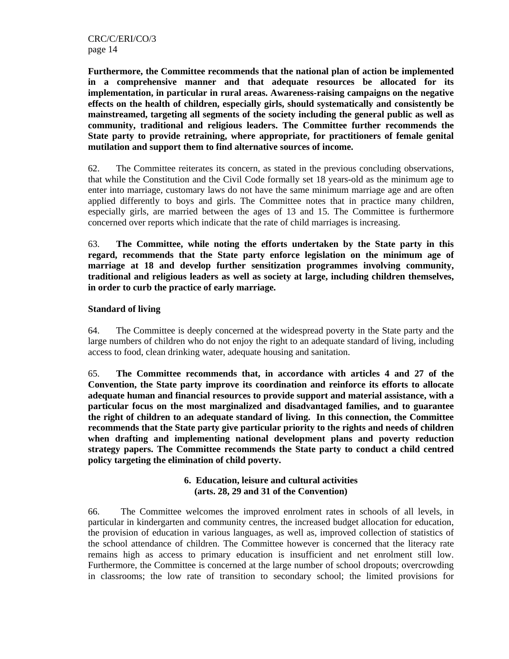**Furthermore, the Committee recommends that the national plan of action be implemented in a comprehensive manner and that adequate resources be allocated for its implementation, in particular in rural areas. Awareness-raising campaigns on the negative effects on the health of children, especially girls, should systematically and consistently be mainstreamed, targeting all segments of the society including the general public as well as community, traditional and religious leaders. The Committee further recommends the State party to provide retraining, where appropriate, for practitioners of female genital mutilation and support them to find alternative sources of income.** 

62. The Committee reiterates its concern, as stated in the previous concluding observations, that while the Constitution and the Civil Code formally set 18 years-old as the minimum age to enter into marriage, customary laws do not have the same minimum marriage age and are often applied differently to boys and girls. The Committee notes that in practice many children, especially girls, are married between the ages of 13 and 15. The Committee is furthermore concerned over reports which indicate that the rate of child marriages is increasing.

63. **The Committee, while noting the efforts undertaken by the State party in this regard, recommends that the State party enforce legislation on the minimum age of marriage at 18 and develop further sensitization programmes involving community, traditional and religious leaders as well as society at large, including children themselves, in order to curb the practice of early marriage.** 

## **Standard of living**

64. The Committee is deeply concerned at the widespread poverty in the State party and the large numbers of children who do not enjoy the right to an adequate standard of living, including access to food, clean drinking water, adequate housing and sanitation.

65. **The Committee recommends that, in accordance with articles 4 and 27 of the Convention, the State party improve its coordination and reinforce its efforts to allocate adequate human and financial resources to provide support and material assistance, with a particular focus on the most marginalized and disadvantaged families, and to guarantee the right of children to an adequate standard of living. In this connection, the Committee recommends that the State party give particular priority to the rights and needs of children when drafting and implementing national development plans and poverty reduction strategy papers. The Committee recommends the State party to conduct a child centred policy targeting the elimination of child poverty.** 

## **6. Education, leisure and cultural activities (arts. 28, 29 and 31 of the Convention)**

66. The Committee welcomes the improved enrolment rates in schools of all levels, in particular in kindergarten and community centres, the increased budget allocation for education, the provision of education in various languages, as well as, improved collection of statistics of the school attendance of children. The Committee however is concerned that the literacy rate remains high as access to primary education is insufficient and net enrolment still low. Furthermore, the Committee is concerned at the large number of school dropouts; overcrowding in classrooms; the low rate of transition to secondary school; the limited provisions for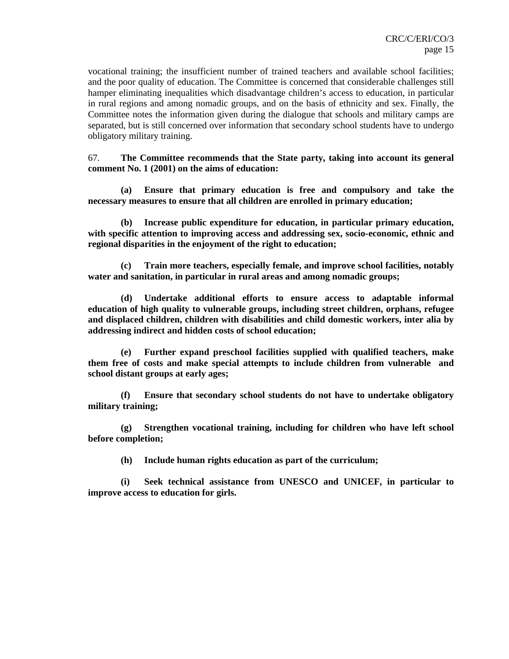vocational training; the insufficient number of trained teachers and available school facilities; and the poor quality of education. The Committee is concerned that considerable challenges still hamper eliminating inequalities which disadvantage children's access to education, in particular in rural regions and among nomadic groups, and on the basis of ethnicity and sex. Finally, the Committee notes the information given during the dialogue that schools and military camps are separated, but is still concerned over information that secondary school students have to undergo obligatory military training.

67. **The Committee recommends that the State party, taking into account its general comment No. 1 (2001) on the aims of education:**

**(a) Ensure that primary education is free and compulsory and take the necessary measures to ensure that all children are enrolled in primary education;** 

**(b) Increase public expenditure for education, in particular primary education, with specific attention to improving access and addressing sex, socio-economic, ethnic and regional disparities in the enjoyment of the right to education;** 

**(c) Train more teachers, especially female, and improve school facilities, notably water and sanitation, in particular in rural areas and among nomadic groups;** 

**(d) Undertake additional efforts to ensure access to adaptable informal education of high quality to vulnerable groups, including street children, orphans, refugee and displaced children, children with disabilities and child domestic workers, inter alia by addressing indirect and hidden costs of school education;** 

**(e) Further expand preschool facilities supplied with qualified teachers, make them free of costs and make special attempts to include children from vulnerable and school distant groups at early ages;** 

**(f) Ensure that secondary school students do not have to undertake obligatory military training;** 

**(g) Strengthen vocational training, including for children who have left school before completion;** 

**(h) Include human rights education as part of the curriculum;** 

**(i) Seek technical assistance from UNESCO and UNICEF, in particular to improve access to education for girls.**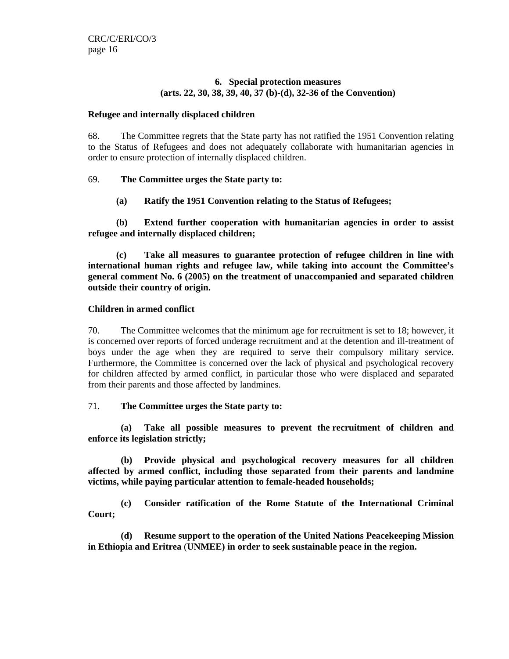#### **6. Special protection measures (arts. 22, 30, 38, 39, 40, 37 (b)-(d), 32-36 of the Convention)**

#### **Refugee and internally displaced children**

68. The Committee regrets that the State party has not ratified the 1951 Convention relating to the Status of Refugees and does not adequately collaborate with humanitarian agencies in order to ensure protection of internally displaced children.

## 69. **The Committee urges the State party to:**

## **(a) Ratify the 1951 Convention relating to the Status of Refugees;**

**(b) Extend further cooperation with humanitarian agencies in order to assist refugee and internally displaced children;** 

**(c) Take all measures to guarantee protection of refugee children in line with international human rights and refugee law, while taking into account the Committee's general comment No. 6 (2005) on the treatment of unaccompanied and separated children outside their country of origin.** 

#### **Children in armed conflict**

70. The Committee welcomes that the minimum age for recruitment is set to 18; however, it is concerned over reports of forced underage recruitment and at the detention and ill-treatment of boys under the age when they are required to serve their compulsory military service. Furthermore, the Committee is concerned over the lack of physical and psychological recovery for children affected by armed conflict, in particular those who were displaced and separated from their parents and those affected by landmines.

#### 71. **The Committee urges the State party to:**

**(a) Take all possible measures to prevent the recruitment of children and enforce its legislation strictly;** 

**(b) Provide physical and psychological recovery measures for all children affected by armed conflict, including those separated from their parents and landmine victims, while paying particular attention to female-headed households;** 

**(c) Consider ratification of the Rome Statute of the International Criminal Court;** 

**(d) Resume support to the operation of the United Nations Peacekeeping Mission in Ethiopia and Eritrea** (**UNMEE) in order to seek sustainable peace in the region.**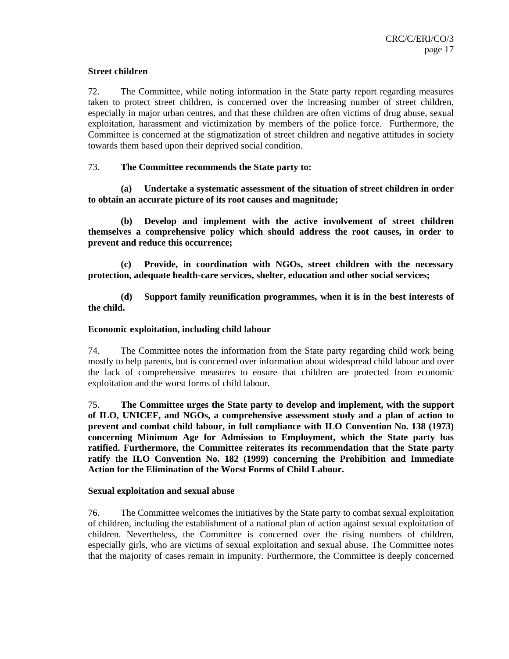#### **Street children**

72. The Committee, while noting information in the State party report regarding measures taken to protect street children, is concerned over the increasing number of street children, especially in major urban centres, and that these children are often victims of drug abuse, sexual exploitation, harassment and victimization by members of the police force. Furthermore, the Committee is concerned at the stigmatization of street children and negative attitudes in society towards them based upon their deprived social condition.

## 73. **The Committee recommends the State party to:**

**(a) Undertake a systematic assessment of the situation of street children in order to obtain an accurate picture of its root causes and magnitude;** 

**(b) Develop and implement with the active involvement of street children themselves a comprehensive policy which should address the root causes, in order to prevent and reduce this occurrence;** 

**(c) Provide, in coordination with NGOs, street children with the necessary protection, adequate health-care services, shelter, education and other social services;** 

**(d) Support family reunification programmes, when it is in the best interests of the child.** 

#### **Economic exploitation, including child labour**

74. The Committee notes the information from the State party regarding child work being mostly to help parents, but is concerned over information about widespread child labour and over the lack of comprehensive measures to ensure that children are protected from economic exploitation and the worst forms of child labour.

75. **The Committee urges the State party to develop and implement, with the support of ILO, UNICEF, and NGOs, a comprehensive assessment study and a plan of action to prevent and combat child labour, in full compliance with ILO Convention No. 138 (1973) concerning Minimum Age for Admission to Employment, which the State party has ratified. Furthermore, the Committee reiterates its recommendation that the State party ratify the ILO Convention No. 182 (1999) concerning the Prohibition and Immediate Action for the Elimination of the Worst Forms of Child Labour.**

#### **Sexual exploitation and sexual abuse**

76. The Committee welcomes the initiatives by the State party to combat sexual exploitation of children, including the establishment of a national plan of action against sexual exploitation of children. Nevertheless, the Committee is concerned over the rising numbers of children, especially girls, who are victims of sexual exploitation and sexual abuse. The Committee notes that the majority of cases remain in impunity. Furthermore, the Committee is deeply concerned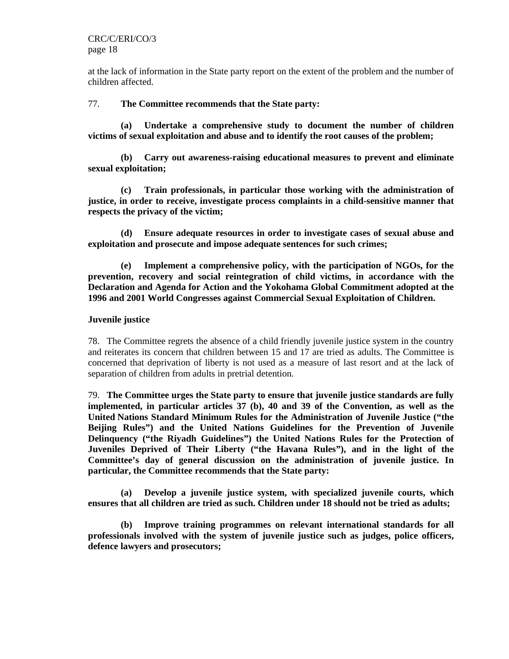CRC/C/ERI/CO/3 page 18

at the lack of information in the State party report on the extent of the problem and the number of children affected.

#### 77. **The Committee recommends that the State party:**

**(a) Undertake a comprehensive study to document the number of children victims of sexual exploitation and abuse and to identify the root causes of the problem;** 

**(b) Carry out awareness-raising educational measures to prevent and eliminate sexual exploitation;** 

**(c) Train professionals, in particular those working with the administration of justice, in order to receive, investigate process complaints in a child-sensitive manner that respects the privacy of the victim;** 

**(d) Ensure adequate resources in order to investigate cases of sexual abuse and exploitation and prosecute and impose adequate sentences for such crimes;** 

**(e) Implement a comprehensive policy, with the participation of NGOs, for the prevention, recovery and social reintegration of child victims, in accordance with the Declaration and Agenda for Action and the Yokohama Global Commitment adopted at the 1996 and 2001 World Congresses against Commercial Sexual Exploitation of Children.** 

#### **Juvenile justice**

78. The Committee regrets the absence of a child friendly juvenile justice system in the country and reiterates its concern that children between 15 and 17 are tried as adults. The Committee is concerned that deprivation of liberty is not used as a measure of last resort and at the lack of separation of children from adults in pretrial detention.

79. **The Committee urges the State party to ensure that juvenile justice standards are fully implemented, in particular articles 37 (b), 40 and 39 of the Convention, as well as the United Nations Standard Minimum Rules for the Administration of Juvenile Justice ("the Beijing Rules") and the United Nations Guidelines for the Prevention of Juvenile Delinquency ("the Riyadh Guidelines") the United Nations Rules for the Protection of Juveniles Deprived of Their Liberty ("the Havana Rules"), and in the light of the Committee's day of general discussion on the administration of juvenile justice. In particular, the Committee recommends that the State party:** 

**(a) Develop a juvenile justice system, with specialized juvenile courts, which ensures that all children are tried as such. Children under 18 should not be tried as adults;** 

**(b) Improve training programmes on relevant international standards for all professionals involved with the system of juvenile justice such as judges, police officers, defence lawyers and prosecutors;**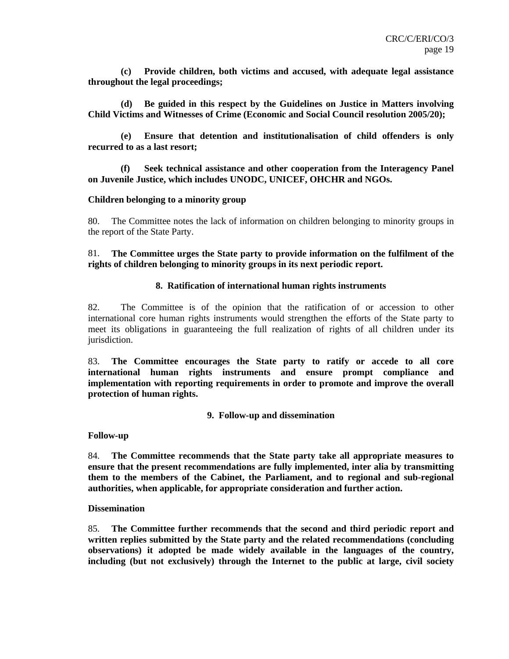**(c) Provide children, both victims and accused, with adequate legal assistance throughout the legal proceedings;** 

**(d) Be guided in this respect by the Guidelines on Justice in Matters involving Child Victims and Witnesses of Crime (Economic and Social Council resolution 2005/20);** 

**(e) Ensure that detention and institutionalisation of child offenders is only recurred to as a last resort;** 

**(f) Seek technical assistance and other cooperation from the Interagency Panel on Juvenile Justice, which includes UNODC, UNICEF, OHCHR and NGOs.** 

#### **Children belonging to a minority group**

80. The Committee notes the lack of information on children belonging to minority groups in the report of the State Party.

81. **The Committee urges the State party to provide information on the fulfilment of the rights of children belonging to minority groups in its next periodic report.** 

#### **8.****Ratification of international human rights instruments**

82. The Committee is of the opinion that the ratification of or accession to other international core human rights instruments would strengthen the efforts of the State party to meet its obligations in guaranteeing the full realization of rights of all children under its jurisdiction.

83. **The Committee encourages the State party to ratify or accede to all core international human rights instruments and ensure prompt compliance and implementation with reporting requirements in order to promote and improve the overall protection of human rights.** 

#### **9. Follow-up and dissemination**

**Follow-up** 

84. **The Committee recommends that the State party take all appropriate measures to ensure that the present recommendations are fully implemented, inter alia by transmitting them to the members of the Cabinet, the Parliament, and to regional and sub-regional authorities, when applicable, for appropriate consideration and further action.** 

#### **Dissemination**

85. **The Committee further recommends that the second and third periodic report and written replies submitted by the State party and the related recommendations (concluding observations) it adopted be made widely available in the languages of the country, including (but not exclusively) through the Internet to the public at large, civil society**